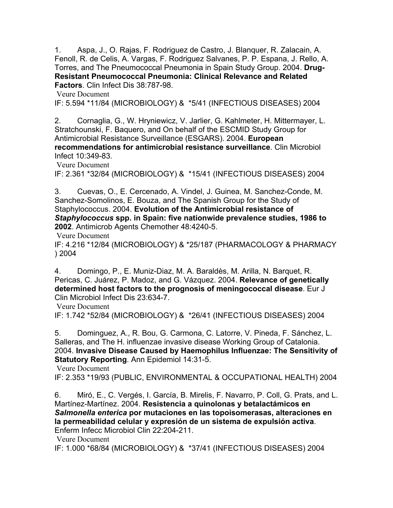1. Aspa, J., O. Rajas, F. Rodriguez de Castro, J. Blanquer, R. Zalacain, A. Fenoll, R. de Celis, A. Vargas, F. Rodriguez Salvanes, P. P. Espana, J. Rello, A. Torres, and The Pneumococcal Pneumonia in Spain Study Group. 2004. **Drug-Resistant Pneumococcal Pneumonia: Clinical Relevance and Related Factors**. Clin Infect Dis 38:787-98.

 [Veure Document](http://www.ncbi.nlm.nih.gov/entrez/query.fcgi?cmd=Retrieve&db=PubMed&dopt=Citation&list_uids=14999620)

IF: 5.594 \*11/84 (MICROBIOLOGY) & \*5/41 (INFECTIOUS DISEASES) 2004

2. Cornaglia, G., W. Hryniewicz, V. Jarlier, G. Kahlmeter, H. Mittermayer, L. Stratchounski, F. Baquero, and On behalf of the ESCMID Study Group for Antimicrobial Resistance Surveillance (ESGARS). 2004. **European recommendations for antimicrobial resistance surveillance**. Clin Microbiol Infect 10:349-83.

 [Veure Document](http://www.ncbi.nlm.nih.gov/entrez/query.fcgi?cmd=Retrieve&db=PubMed&dopt=Citation&list_uids=15059129)

IF: 2.361 \*32/84 (MICROBIOLOGY) & \*15/41 (INFECTIOUS DISEASES) 2004

3. Cuevas, O., E. Cercenado, A. Vindel, J. Guinea, M. Sanchez-Conde, M. Sanchez-Somolinos, E. Bouza, and The Spanish Group for the Study of Staphylococcus. 2004. **Evolution of the Antimicrobial resistance of** *Staphylococcus* **spp. in Spain: five nationwide prevalence studies, 1986 to 2002**. Antimicrob Agents Chemother 48:4240-5.

 [Veure Document](http://www.ncbi.nlm.nih.gov/entrez/query.fcgi?cmd=Retrieve&db=PubMed&dopt=Citation&list_uids=15504847)

IF: 4.216 \*12/84 (MICROBIOLOGY) & \*25/187 (PHARMACOLOGY & PHARMACY ) 2004

4. Domingo, P., E. Muniz-Diaz, M. A. Baraldès, M. Arilla, N. Barquet, R. Pericas, C. Juárez, P. Madoz, and G. Vázquez. 2004. **Relevance of genetically determined host factors to the prognosis of meningococcal disease**. Eur J Clin Microbiol Infect Dis 23:634-7.

 [Veure Document](http://www.ncbi.nlm.nih.gov/entrez/query.fcgi?cmd=Retrieve&db=PubMed&dopt=Citation&list_uids=15243816)

IF: 1.742 \*52/84 (MICROBIOLOGY) & \*26/41 (INFECTIOUS DISEASES) 2004

5. Dominguez, A., R. Bou, G. Carmona, C. Latorre, V. Pineda, F. Sánchez, L. Salleras, and The H. influenzae invasive disease Working Group of Catalonia. 2004. **Invasive Disease Caused by Haemophilus Influenzae: The Sensitivity of Statutory Reporting**. Ann Epidemiol 14:31-5.

 [Veure Document](http://www.ncbi.nlm.nih.gov/entrez/query.fcgi?cmd=Retrieve&db=PubMed&dopt=Citation&list_uids=14664777)

IF: 2.353 \*19/93 (PUBLIC, ENVIRONMENTAL & OCCUPATIONAL HEALTH) 2004

6. Miró, E., C. Vergés, I. García, B. Mirelis, F. Navarro, P. Coll, G. Prats, and L. Martínez-Martínez. 2004. **Resistencia a quinolonas y betalactámicos en** *Salmonella enterica* **por mutaciones en las topoisomerasas, alteraciones en la permeabilidad celular y expresión de un sistema de expulsión activa**. Enferm Infecc Microbiol Clin 22:204-211.

 [Veure Document](http://www.ncbi.nlm.nih.gov/entrez/query.fcgi?cmd=Retrieve&db=PubMed&dopt=Citation&list_uids=15056435)

IF: 1.000 \*68/84 (MICROBIOLOGY) & \*37/41 (INFECTIOUS DISEASES) 2004